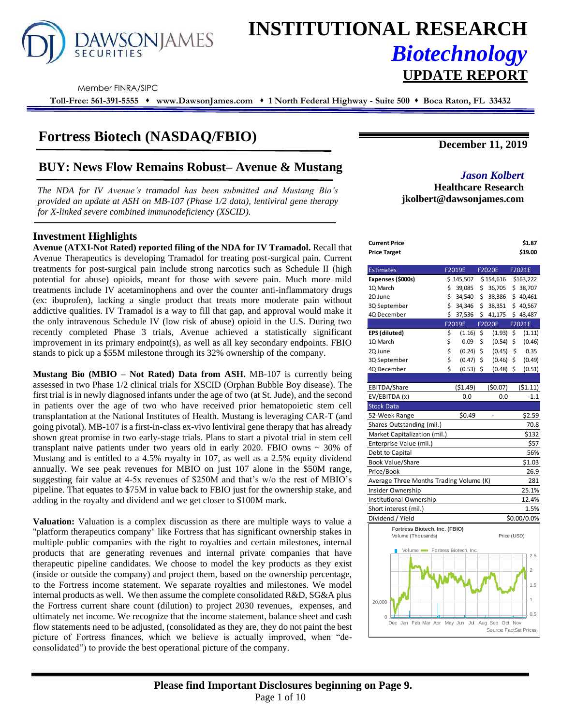

# **INSTITUTIONAL RESEARCH** *Biotechnology* **UPDATE REPORT**

Member FINRA/SIPC

**Toll-Free: 561-391-5555** ⬧ **www.DawsonJames.com** ⬧ **1 North Federal Highway - Suite 500** ⬧ **Boca Raton, FL 33432**

### **Fortress Biotech (NASDAQ/FBIO)**

## **BUY: News Flow Remains Robust– Avenue & Mustang** *Jason Kolbert*

*The NDA for IV Avenue's tramadol has been submitted and Mustang Bio's provided an update at ASH on MB-107 (Phase 1/2 data), lentiviral gene therapy for X-linked severe combined immunodeficiency (XSCID).* 

#### **Investment Highlights**

**Avenue (ATXI-Not Rated) reported filing of the NDA for IV Tramadol.** Recall that Avenue Therapeutics is developing Tramadol for treating post-surgical pain. Current treatments for post-surgical pain include strong narcotics such as Schedule II (high potential for abuse) opioids, meant for those with severe pain. Much more mild treatments include IV acetaminophens and over the counter anti-inflammatory drugs (ex: ibuprofen), lacking a single product that treats more moderate pain without addictive qualities. IV Tramadol is a way to fill that gap, and approval would make it the only intravenous Schedule IV (low risk of abuse) opioid in the U.S. During two recently completed Phase 3 trials, Avenue achieved a statistically significant improvement in its primary endpoint(s), as well as all key secondary endpoints. FBIO stands to pick up a \$55M milestone through its 32% ownership of the company.

**Mustang Bio (MBIO – Not Rated) Data from ASH.** MB-107 is currently being assessed in two Phase 1/2 clinical trials for XSCID (Orphan Bubble Boy disease). The first trial is in newly diagnosed infants under the age of two (at St. Jude), and the second in patients over the age of two who have received prior hematopoietic stem cell transplantation at the National Institutes of Health. Mustang is leveraging CAR-T (and going pivotal). MB-107 is a first-in-class ex-vivo lentiviral gene therapy that has already shown great promise in two early-stage trials. Plans to start a pivotal trial in stem cell transplant naive patients under two years old in early 2020. FBIO owns ~ 30% of Mustang and is entitled to a 4.5% royalty in 107, as well as a 2.5% equity dividend annually. We see peak revenues for MBIO on just 107 alone in the \$50M range, suggesting fair value at 4-5x revenues of \$250M and that's w/o the rest of MBIO's pipeline. That equates to \$75M in value back to FBIO just for the ownership stake, and adding in the royalty and dividend and we get closer to \$100M mark.

**Valuation:** Valuation is a complex discussion as there are multiple ways to value a "platform therapeutics company" like Fortress that has significant ownership stakes in multiple public companies with the right to royalties and certain milestones, internal products that are generating revenues and internal private companies that have therapeutic pipeline candidates. We choose to model the key products as they exist (inside or outside the company) and project them, based on the ownership percentage, to the Fortress income statement. We separate royalties and milestones. We model internal products as well. We then assume the complete consolidated R&D, SG&A plus the Fortress current share count (dilution) to project 2030 revenues, expenses, and ultimately net income. We recognize that the income statement, balance sheet and cash flow statements need to be adjusted, (consolidated as they are, they do not paint the best picture of Fortress finances, which we believe is actually improved, when "deconsolidated") to provide the best operational picture of the company.

**December 11, 2019**

**Healthcare Research jkolbert@dawsonjames.com**

| <b>Current Price</b><br><b>Price Target</b> |     |                     |               | \$1.87<br>\$19.00 |
|---------------------------------------------|-----|---------------------|---------------|-------------------|
| <b>Estimates</b>                            |     | F2019E              | <b>F2020E</b> | F2021E            |
| Expenses (\$000s)                           |     | \$145,507 \$154,616 |               | \$163,222         |
| 1Q March                                    | \$  | 39,085              | \$<br>36,705  | \$38,707          |
| 2Q June                                     | \$  | 34,540              | \$<br>38,386  | \$40,461          |
| 3Q September                                | \$  | 34,346              | \$<br>38,351  | \$40,567          |
| 4Q December                                 | \$. | 37,536              | \$<br>41,175  | \$43,487          |
|                                             |     | F2019E              | <b>F2020E</b> | F2021E            |
| EPS (diluted)                               | \$  | (1.16)              | \$<br>(1.93)  | \$<br>(1.11)      |
| 1Q March                                    | \$  | 0.09                | \$<br>(0.54)  | \$<br>(0.46)      |
| 2Q June                                     | \$  | (0.24)              | \$<br>(0.45)  | \$<br>0.35        |
| 3Q September                                | \$  | (0.47)              | \$<br>(0.46)  | \$<br>(0.49)      |
| 4Q December                                 | Ś   | $(0.53)$ \$         | (0.48)        | \$<br>(0.51)      |
|                                             |     |                     |               |                   |
| EBITDA/Share                                |     | (51.49)             | (50.07)       | (51.11)           |
| EV/EBITDA (x)                               |     | 0.0                 | 0.0           | $-1.1$            |
| <b>Stock Data</b>                           |     |                     |               |                   |
| 52-Week Range                               |     | \$0.49              |               | \$2.59            |
| Shares Outstanding (mil.)                   |     |                     |               | 70.8              |
| Market Capitalization (mil.)                |     |                     |               | \$132             |
| Enterprise Value (mil.)                     |     |                     |               | \$57              |
| Debt to Capital                             |     |                     |               | 56%               |
| <b>Book Value/Share</b>                     |     |                     |               | \$1.03            |
| Price/Book                                  |     |                     |               | 26.9              |
| Average Three Months Trading Volume (K)     |     |                     |               | 281               |
| Insider Ownership                           |     |                     |               | 25.1%             |
| Institutional Ownership                     |     |                     |               | 12.4%             |
| Short interest (mil.)                       |     |                     |               | 1.5%              |
| Dividend / Yield                            |     |                     |               | \$0.00/0.0%       |
| Fortress Biotech, Inc. (FBIO)               |     |                     |               |                   |
| Volume (Thousands)                          |     |                     | Price (USD)   |                   |
|                                             |     |                     |               |                   |
| Volume Fortress Biotech, Inc.               |     |                     |               | 2.5               |
|                                             |     |                     |               |                   |
|                                             |     |                     |               | $\overline{2}$    |

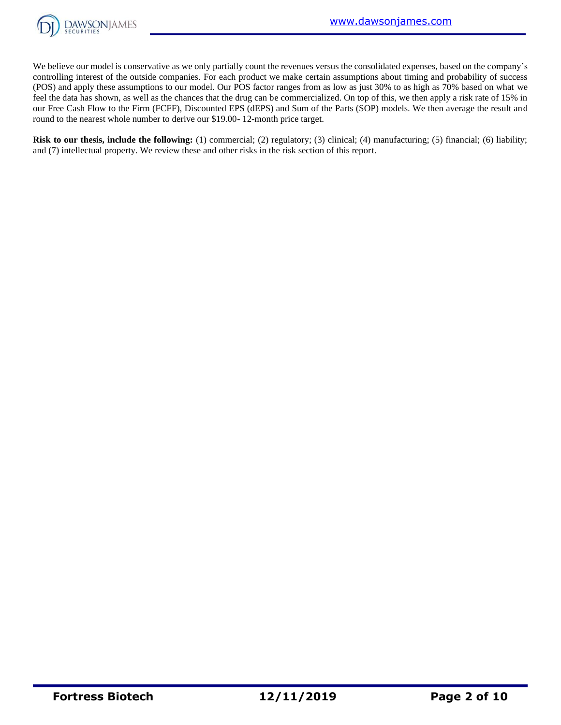

We believe our model is conservative as we only partially count the revenues versus the consolidated expenses, based on the company's controlling interest of the outside companies. For each product we make certain assumptions about timing and probability of success (POS) and apply these assumptions to our model. Our POS factor ranges from as low as just 30% to as high as 70% based on what we feel the data has shown, as well as the chances that the drug can be commercialized. On top of this, we then apply a risk rate of 15% in our Free Cash Flow to the Firm (FCFF), Discounted EPS (dEPS) and Sum of the Parts (SOP) models. We then average the result and round to the nearest whole number to derive our \$19.00- 12-month price target.

**Risk to our thesis, include the following:** (1) commercial; (2) regulatory; (3) clinical; (4) manufacturing; (5) financial; (6) liability; and (7) intellectual property. We review these and other risks in the risk section of this report.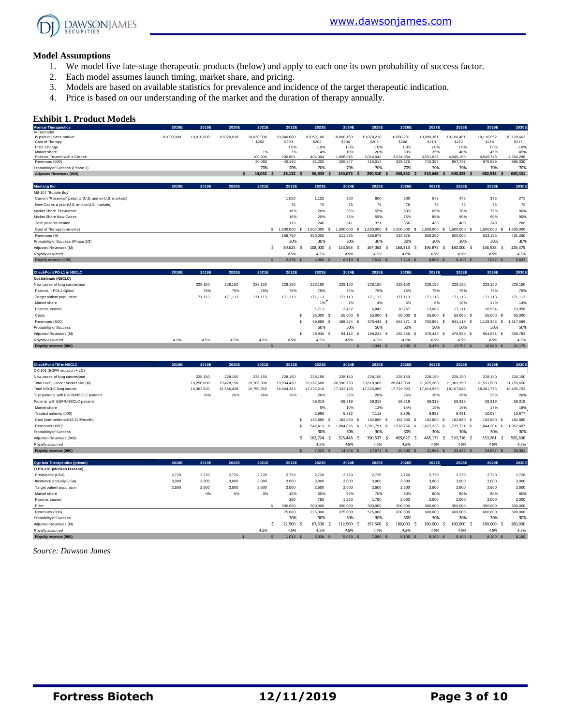

#### **Model Assumptions**

- 1. We model five late-stage therapeutic products (below) and apply to each one its own probability of success factor.
- 2. Each model assumes launch timing, market share, and pricing.
- 3. Models are based on available statistics for prevalence and incidence of the target therapeutic indication.
- 4. Price is based on our understanding of the market and the duration of therapy annually.

#### **Exhibit 1. Product Models**

| <b>Exhibit 1. Product Models</b>                                  |            |                   |                   |                   |                              |                    |                                             |                                             |                                  |                   |                                                |                                  |                   |
|-------------------------------------------------------------------|------------|-------------------|-------------------|-------------------|------------------------------|--------------------|---------------------------------------------|---------------------------------------------|----------------------------------|-------------------|------------------------------------------------|----------------------------------|-------------------|
| <b>Avenue Therapeutics</b>                                        | 2018E      | 2019E             | 2020E             | 2021E             | 2022E                        | 2023E              | 2024E                                       | 2025E                                       | 2026E                            | 2027E             | 2028E                                          | 2029E                            | 2030E             |
| IV Tramadol<br>IV pain relievers market                           | 10,000,000 | 10,010,000        | 10,020,010        | 10,030,030        | 10,040,060                   | 10,050,100         | 10,060,150                                  | 10,070,210                                  | 10,080,281                       | 10,090,361        | 10,100,451                                     | 10,110,552                       | 10,120,662        |
| Cost of Therapy                                                   |            |                   |                   | \$200             | \$200                        | \$202              | \$204                                       | \$206                                       | \$208                            | \$210             | \$212                                          | \$214                            | \$217             |
| Price Change                                                      |            |                   |                   |                   | 1.0%                         | 1.0%               | 1.0%                                        | 1.0%                                        | 1.0%                             | 1.0%              | 1.0%                                           | 1.0%                             | 1.0%              |
| Market share<br>Patients Treated with a Course                    |            |                   |                   | 1%<br>100,300     | 2%<br>200,801                | 4%<br>402,004      | 10%<br>1,006,015                            | 20%<br>2,014,042                            | 30%<br>3,024,084                 | 35%<br>3,531,626  | 40%<br>4,040,180                               | 45%<br>4,549,748                 | 45%<br>4,554,298  |
| Revenues (000)                                                    |            |                   |                   | 20,060            | 40,160                       | 81,205             | 205,247                                     | 415,014                                     | 629,375                          | 742.355           | 857,747                                        | 975,589                          | 986,330           |
| Probability of Success (Phase 3)                                  |            |                   |                   | 70%               | 70%                          | 70%                | 70%                                         | 70%                                         | 70%                              | 70%               | 70%                                            | 70%                              | 70%               |
| <b>Adjusted Revenues (000)</b>                                    |            |                   |                   | 14,042 \$<br>Ŝ    | 28,112<br>.s                 | 56,843             | 143,673<br>Ŝ                                | -\$<br>290,510<br>-\$                       | 440,562 \$                       | 519,648           | \$<br>$600,423$ \$                             | 682,912<br>$\mathsf{s}$          | 690,431           |
| <b>Mustang Bio</b>                                                | 2018E      | 2019E             | 2020E             | 2021E             | 2022E                        | 2023E              | 2024E                                       | 2025E                                       | 2026E                            | 2027E             | 2028E                                          | 2029E                            | 2030E             |
| MB-107 "Bubble Boy"                                               |            |                   |                   |                   |                              |                    |                                             |                                             |                                  |                   |                                                |                                  |                   |
| Current "Reservoir" patients (U.S. and ex-U.S. markets)           |            |                   |                   |                   | 1,050                        | 1,125              | 900                                         | 600                                         | 500                              | 575               | 475                                            | 375                              | 275               |
| New Cases a year (U.S. and ex-U.S. markets)                       |            |                   |                   |                   | 75                           | 75                 | 75                                          | 75                                          | 75                               | 75                | 75                                             | 75                               | 75                |
| Market Share Prevalance                                           |            |                   |                   |                   | 10%                          | 20%                | 35%                                         | 55%                                         | 60%                              | 65%               | 70%                                            | 75%                              | 80%               |
| Market Share New Cases                                            |            |                   |                   |                   | 10%                          | 20%                | 35%                                         | 55%                                         | 75%                              | 85%               | 90%                                            | 90%                              | 90%               |
| Total patients treated                                            |            |                   |                   |                   | 113                          | 240                | 341                                         | 371                                         | 356                              | 438               | 400                                            | 349                              | 288               |
| Cost of Therapy (one-time)                                        |            |                   |                   |                   | \$ 1,500,000<br><sub>S</sub> | 1,500,000          | 1,500,000                                   | 1,500,000<br>s<br>-S                        | 1,500,000<br><sub>S</sub>        | 1,500,000         | 1,500,000<br>s<br>-S                           | 1,500,000<br>s                   | 1,500,000         |
| Revenues (M)                                                      |            |                   |                   |                   | 168,750                      | 360,000            | 511,875                                     | 556,875                                     | 534,375                          | 656,250           | 600,000                                        | 523,125                          | 431,250           |
| Probability of Success (Phase 2/3)                                |            |                   |                   |                   | 30%                          | 30%                | 30%                                         | 30%                                         | 30%                              | 30%               | 30%                                            | 30%                              | 30%               |
| Adjusted Revenues (M)                                             |            |                   |                   | \$                | 50,625<br>.s                 | 108,000            | 153,563<br>.s                               | 167,063<br>-\$<br>-\$                       | 160,313                          | 196,875<br>\$     | 180,000<br>\$<br>-Ś                            | 156,938<br>Ŝ.                    | 129,375           |
| Royalty assumed                                                   |            |                   |                   |                   | 4.5%                         | 4.5%               | 4.5%                                        | 4.5%                                        | 4.5%                             | 4.5%              | 4.5%                                           | 4.5%                             | 4.5%              |
| Royalty revenue (000)                                             |            |                   |                   | S                 | 2,278                        | 4,860              | 6,910                                       | 7,518                                       | 7,214                            | 8,859 \$          | 8,100 \$                                       | 7,062 \$                         | 5,822             |
| CheckPoint PD-L1 in NSCLC                                         | 2018E      | 2019E             | 2020E             | 2021E             | 2022E                        | 2023E              | 2024E                                       | 2025E                                       | 2026E                            | 2027E             | 2028E                                          | 2029E                            | 2030E             |
| Cosibelimab (NSCLC)                                               |            |                   |                   |                   |                              |                    |                                             |                                             |                                  |                   |                                                |                                  |                   |
| New cases of lung cancer/year                                     |            | 228,150           | 228,150           | 228,150           | 228,150                      | 228,150            | 228,150                                     | 228,150                                     | 228,150                          | 228,150           | 228,150                                        | 228,150                          | 228,150           |
| Patients - PDL1 Option                                            |            | 75%               | 75%               | 75%               | 75%                          | 75%                | 75%                                         | 75%                                         | 75%                              | 75%               | 75%                                            | 75%                              | 75%               |
| Target patient population                                         |            | 171,113           | 171,113           | 171,113           | 171,113                      | 171,113            | 171,113                                     | 171,113                                     | 171,113                          | 171,113           | 171,113                                        | 171,113                          | 171,113           |
| Market share                                                      |            |                   |                   |                   |                              | 1%                 | 2%                                          | 4%                                          | 6%                               | 8%                | 10%                                            | 12%                              | 14%               |
| Patients treated                                                  |            |                   |                   |                   |                              | 1,711              | 3.422                                       | 6.845                                       | 10.267                           | 13,689            | 17,111                                         | 20.534                           | 23,956            |
| Costs                                                             |            |                   |                   |                   | s                            | 35,000 \$          | 55,000                                      | 55,000<br>s<br>- S                          | 55,000<br><b>S</b>               | 55,000            | 55,000<br><b>S</b><br>-S                       | 55,000<br>- S                    | 55,000            |
| Revenues ('000)                                                   |            |                   |                   |                   | <sub>\$</sub>                | 59,889             | 188,224<br>- \$                             | 376,448<br>-S<br>- S                        | 564,671<br>- \$                  | 752.895           | 941,119<br>£.<br>- \$                          | 1,129,343<br>s                   | 1,317,566         |
| Probability of Success                                            |            |                   |                   |                   |                              | 50%                | 50%                                         | 50%                                         | 50%                              | 50%               | 50%                                            | 50%                              | 50%               |
| Adjusted Revenues (M)                                             |            |                   |                   |                   | s                            | 29,945             | 94,112<br>-S                                | 188,224<br>-S<br>- S                        | 282,336<br>$\,$ $\,$             | 376,448           | 470,559<br>- \$<br>$\mathbf{s}$                | 564,671 \$                       | 658,783           |
| Royalty assumed                                                   | 4.5%       | 4.5%              | 4.5%              | 4.5%              | 4.5%                         | 4.5%               | 4.5%                                        | 4.5%                                        | 4.5%                             | 4.5%              | 4.5%                                           | 4.5%                             | 4.5%              |
| Royalty revenue (000)                                             |            |                   |                   |                   |                              |                    |                                             | 1,348<br>$\mathbf{s}$<br>S                  | 4,235<br>$\mathbf{s}$            | 8,470             | 12,705<br><sub>S</sub><br>$\mathbf{s}$         | 16,940<br><b>S</b>               | 21,175            |
|                                                                   |            |                   |                   |                   |                              |                    |                                             |                                             |                                  |                   |                                                |                                  |                   |
| <b>CheckPoint TKI in NSCLC</b>                                    | 2018E      | 2019E             | 2020E             | 2021E             | 2022E                        | 2023E              | 2024E                                       | 2025E                                       | 2026E                            | 2027E             | 2028E                                          | 2029E                            | 2030E             |
| CK-101 (EGFR mutation + LC)                                       |            |                   |                   |                   |                              |                    |                                             |                                             |                                  |                   |                                                |                                  |                   |
| New cases of lung cancer/year                                     |            | 228,150           | 228,150           | 228,150           | 228,150                      | 228,150            | 228,150                                     | 228,150                                     | 228,150                          | 228,150           | 228,150                                        | 228,150                          | 228,150           |
| Total Lung Cancer Market size (M)                                 |            | 19,250,000        | 19,478,150        | 19,706,300        | 19,934,450                   | 20,162,600         | 20,390,750                                  | 20,618,900                                  | 20,847,050                       | 21,075,200        | 21,303,350                                     | 21,531,500                       | 21,759,650        |
| Total NSCLC lung cancer<br>% of patients with EGFR/NSCLC patients |            | 16,362,500<br>26% | 16,556,428<br>26% | 16,750,355<br>26% | 16,944,283<br>26%            | 17,138,210<br>26%  | 17,332,138<br>26%                           | 17,526,065<br>26%                           | 17,719,993<br>26%                | 17,913,920<br>26% | 18,107,848<br>26%                              | 18,301,775<br>26%                | 18,495,703<br>26% |
| Patients with EGFR/NSCLC patients                                 |            |                   |                   |                   |                              |                    |                                             |                                             |                                  |                   |                                                |                                  |                   |
| Market share                                                      |            |                   |                   |                   |                              | 59,319<br>5%       | 59,319<br>10%                               | 59,319<br>12%                               | 59,319<br>14%                    | 59,319<br>15%     | 59,319<br>16%                                  | 59,319<br>17%                    | 59,319<br>18%     |
| Treated patients (000)                                            |            |                   |                   |                   |                              | 2,966              | 5,932                                       | 7,118                                       | 8,305                            | 8,898             | 9,491                                          | 10,084                           | 10,677            |
|                                                                   |            |                   |                   |                   |                              |                    |                                             |                                             |                                  | 182,880           |                                                |                                  | 182.880           |
| Cost (competition=\$15,240/month)<br>Revenues ('000)              |            |                   |                   |                   | s<br>$\mathbf{s}$            | 182,880<br>542,413 | 182,880<br>-\$<br>$\mathbf{s}$<br>1,084,826 | 182,880<br>-S<br>- S<br>s<br>1,301,791<br>s | 182,880<br>-S<br>1,518,756<br>s. | 1,627,239         | 182,880<br>-\$<br>- S<br>\$<br>1,735,721<br>\$ | 182,880<br>- S<br>1,844,204<br>s | 1,952,687         |
|                                                                   |            |                   |                   |                   |                              |                    | 30%                                         | 30%                                         |                                  |                   |                                                |                                  | 30%               |
| Probability of Success                                            |            |                   |                   |                   | .\$                          | 30%<br>162.724     | - Ś                                         | 390.537                                     | 30%<br>455.627                   | 30%<br>488.172    | 30%<br>520.716 \$                              | 30%<br>553.261                   | 585.806           |
| Adjusted Revenues (000)                                           |            |                   |                   |                   |                              |                    | 325,448                                     | -\$<br>- \$                                 | -\$                              |                   | -\$                                            | \$                               |                   |
| Royalty assumed<br>Royalty revenue (000)                          |            |                   |                   |                   |                              | 4.5%<br>7,323      | 4.5%<br>14,645 \$<br>$\mathbf{\hat{s}}$     | 4.5%<br>17,574<br>ß                         | 4.5%<br>20,503<br>$\mathcal{S}$  | 4.5%<br>21,968 \$ | 4.5%<br>23,432 \$                              | 4.5%<br>24,897 \$                | 4.5%<br>26,361    |
| <b>Cyprium Therapeutics (private)</b>                             | 2018E      | 2019E             | 2020E             | 2021E             | 2022E                        | 2023E              | 2024E                                       | 2025E                                       | 2026E                            | 2027E             | 2028E                                          | 2029E                            | 2030E             |
| CUTX-101 (Menkes Disease)                                         |            |                   |                   |                   |                              |                    |                                             |                                             |                                  |                   |                                                |                                  |                   |
| Prevalance (USA)                                                  | 2,720      | 2,720             | 2,720             | 2,720             | 2.720                        | 2,720              | 2,720                                       | 2,720                                       | 2,720                            | 2,720             | 2,720                                          | 2.720                            | 2,720             |
| Incidence annualy (USA)                                           | 3,000      | 3,000             | 3,000             | 3,000             | 3,000                        | 3,000              | 3,000                                       | 3,000                                       | 3,000                            | 3,000             | 3,000                                          | 3,000                            | 3,000             |
| Target patient population                                         | 2,500      | 2,500             | 2,500             | 2,500             | 2,500                        | 2,500              | 2,500                                       | 2,500                                       | 2,500                            | 2,500             | 2,500                                          | 2,500                            | 2,500             |
| Market share                                                      |            | 0%                | 0%                | 0%                | 10%                          | 30%                | 50%                                         | 70%                                         | 80%                              | 80%               | 80%                                            | 80%                              | 80%               |
| Patients treated                                                  |            |                   |                   |                   | 250                          | 750                | 1,250                                       | 1,750                                       | 2,000                            | 2,000             | 2,000                                          | 2,000                            | 2,000             |
|                                                                   |            |                   |                   |                   | nnn                          | <b>OOO</b>         | an oc                                       | inn nnn                                     | inn nnn                          | nn nnr            | an nan                                         | no or                            | 00.000            |

| Market share           | 0% | 0% | 0%   | 10%     | 30%     | 50%        | 70%     | 80%     | 80%      | 80%      | 80%      | 80%     |
|------------------------|----|----|------|---------|---------|------------|---------|---------|----------|----------|----------|---------|
| Patients treated       |    |    |      | 250     | 750     | 1,250      | 1,750   | 2,000   | 2,000    | 2,000    | 2,000    | 2,000   |
| Price                  |    |    |      | 300,000 | 300,000 | 300,000    | 300,000 | 300,000 | 300,000  | 300,000  | 300,000  | 300,000 |
| Revenues (000)         |    |    |      | 75,000  | 225,000 | 375,000    | 525.000 | 600.000 | 600,000  | 600,000  | 600,000  | 600,000 |
| Probability of Success |    |    |      | 30%     | 30%     | 30%        | 30%     | 30%     | 30%      | 30%      | 30%      | 30%     |
| Adjusted Revenues (M)  |    |    |      | 22.500  | 67.500  | 112.500    | 157.500 | 180.000 | 180,000  | 180,000  | 180.000  | 180,000 |
| Royalty assumed        |    |    | 4.5% | 4.5%    | 4.5%    | 4.5%       | 4.5%    | 4.5%    | 4.5%     | 4.5%     | 4.5%     | 4.5%    |
| Royalty revenue (000)  |    |    |      | 1.013   | 3.038   | $5,063$ \$ | 7.088   | 8.100   | 8,100 \$ | 8,100 \$ | 8,100 \$ | 8,100   |

*Source: Dawson James*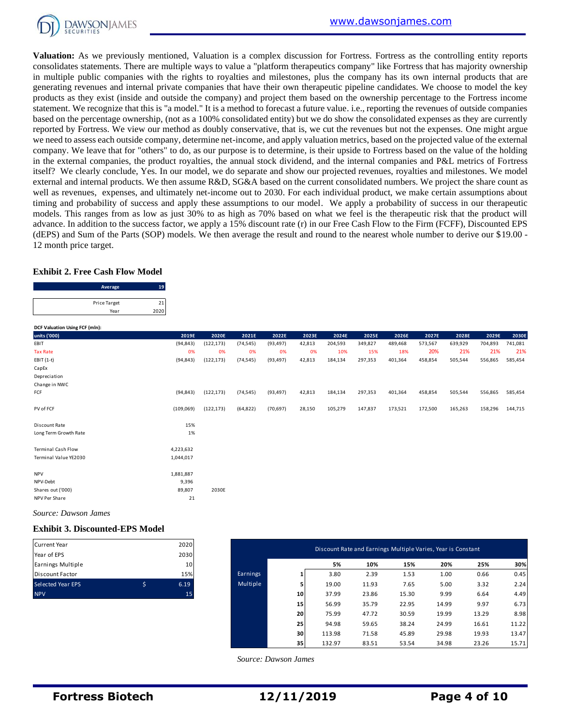

**Valuation:** As we previously mentioned, Valuation is a complex discussion for Fortress. Fortress as the controlling entity reports consolidates statements. There are multiple ways to value a "platform therapeutics company" like Fortress that has majority ownership in multiple public companies with the rights to royalties and milestones, plus the company has its own internal products that are generating revenues and internal private companies that have their own therapeutic pipeline candidates. We choose to model the key products as they exist (inside and outside the company) and project them based on the ownership percentage to the Fortress income statement. We recognize that this is "a model." It is a method to forecast a future value. i.e., reporting the revenues of outside companies based on the percentage ownership, (not as a 100% consolidated entity) but we do show the consolidated expenses as they are currently reported by Fortress. We view our method as doubly conservative, that is, we cut the revenues but not the expenses. One might argue we need to assess each outside company, determine net-income, and apply valuation metrics, based on the projected value of the external company. We leave that for "others" to do, as our purpose is to determine, is their upside to Fortress based on the value of the holding in the external companies, the product royalties, the annual stock dividend, and the internal companies and P&L metrics of Fortress itself? We clearly conclude, Yes. In our model, we do separate and show our projected revenues, royalties and milestones. We model external and internal products. We then assume R&D, SG&A based on the current consolidated numbers. We project the share count as well as revenues, expenses, and ultimately net-income out to 2030. For each individual product, we make certain assumptions about timing and probability of success and apply these assumptions to our model. We apply a probability of success in our therapeutic models. This ranges from as low as just 30% to as high as 70% based on what we feel is the therapeutic risk that the product will advance. In addition to the success factor, we apply a 15% discount rate (r) in our Free Cash Flow to the Firm (FCFF), Discounted EPS (dEPS) and Sum of the Parts (SOP) models. We then average the result and round to the nearest whole number to derive our \$19.00 - 12 month price target.

#### **Exhibit 2. Free Cash Flow Model**

| <b>Exhibit 2. Free Cash Flow Model</b> |              |
|----------------------------------------|--------------|
| Average                                | 19           |
| <b>Price Target</b>                    |              |
|                                        | 2020<br>Year |
|                                        |              |

| 12 month price target.                 |                      |            |           |            |           |                      |        |         |                                                              |         |         |         |         |         |
|----------------------------------------|----------------------|------------|-----------|------------|-----------|----------------------|--------|---------|--------------------------------------------------------------|---------|---------|---------|---------|---------|
| <b>Exhibit 2. Free Cash Flow Model</b> |                      |            |           |            |           |                      |        |         |                                                              |         |         |         |         |         |
|                                        | Average              | 19         |           |            |           |                      |        |         |                                                              |         |         |         |         |         |
|                                        | Price Target<br>Year | 21<br>2020 |           |            |           |                      |        |         |                                                              |         |         |         |         |         |
| DCF Valuation Using FCF (mln):         |                      |            |           |            |           |                      |        |         |                                                              |         |         |         |         |         |
| units ('000)                           |                      |            | 2019E     | 2020E      | 2021E     | 2022E                | 2023E  | 2024E   | 2025E                                                        | 2026E   | 2027E   | 2028E   | 2029E   | 2030E   |
| EBIT                                   |                      |            | (94, 843) | (122, 173) | (74, 545) | (93, 497)            | 42,813 | 204,593 | 349,827                                                      | 489,468 | 573,567 | 639,929 | 704,893 | 741,081 |
| <b>Tax Rate</b>                        |                      |            | 0%        | 0%         | 0%        | 0%                   | 0%     | 10%     | 15%                                                          | 18%     | 20%     | 21%     | 21%     | 21%     |
| EBIT (1-t)                             |                      |            | (94, 843) | (122, 173) | (74, 545) | (93, 497)            | 42,813 | 184,134 | 297,353                                                      | 401,364 | 458,854 | 505,544 | 556,865 | 585,454 |
| CapEx                                  |                      |            |           |            |           |                      |        |         |                                                              |         |         |         |         |         |
| Depreciation                           |                      |            |           |            |           |                      |        |         |                                                              |         |         |         |         |         |
| Change in NWC                          |                      |            |           |            |           |                      |        |         |                                                              |         |         |         |         |         |
| FCF                                    |                      |            | (94, 843) | (122, 173) | (74, 545) | (93, 497)            | 42,813 | 184,134 | 297,353                                                      | 401,364 | 458,854 | 505,544 | 556,865 | 585,454 |
| PV of FCF                              |                      | (109, 069) |           | (122, 173) | (64, 822) | (70, 697)            | 28,150 | 105,279 | 147,837                                                      | 173,521 | 172,500 | 165,263 | 158,296 | 144,715 |
| Discount Rate                          |                      |            | 15%       |            |           |                      |        |         |                                                              |         |         |         |         |         |
| Long Term Growth Rate                  |                      |            | 1%        |            |           |                      |        |         |                                                              |         |         |         |         |         |
| <b>Terminal Cash Flow</b>              |                      | 4,223,632  |           |            |           |                      |        |         |                                                              |         |         |         |         |         |
| Terminal Value YE2030                  |                      | 1,044,017  |           |            |           |                      |        |         |                                                              |         |         |         |         |         |
| <b>NPV</b>                             |                      | 1,881,887  |           |            |           |                      |        |         |                                                              |         |         |         |         |         |
| NPV-Debt                               |                      |            | 9,396     |            |           |                      |        |         |                                                              |         |         |         |         |         |
| Shares out ('000)                      |                      |            | 89,807    | 2030E      |           |                      |        |         |                                                              |         |         |         |         |         |
| NPV Per Share                          |                      |            | 21        |            |           |                      |        |         |                                                              |         |         |         |         |         |
| Source: Dawson James                   |                      |            |           |            |           |                      |        |         |                                                              |         |         |         |         |         |
| <b>Exhibit 3. Discounted-EPS Model</b> |                      |            |           |            |           |                      |        |         |                                                              |         |         |         |         |         |
| <b>Current Year</b>                    |                      |            | 2020      |            |           |                      |        |         | Discount Rate and Earnings Multiple Varies, Year is Constant |         |         |         |         |         |
| Year of EPS                            |                      |            | 2030      |            |           |                      |        |         |                                                              |         |         |         |         |         |
| Earnings Multiple                      |                      |            | 10        |            |           |                      |        | 5%      | 10%                                                          | 15%     |         | 20%     | 25%     | 30%     |
| <b>Discount Factor</b>                 |                      |            | 15%       |            | Earnings  |                      | 1      | 3.80    | 2.39                                                         | 1.53    |         | 1.00    | 0.66    | 0.45    |
| Selected Year EPS                      |                      | \$         | 6.19      |            | Multiple  |                      | 5      | 19.00   | 11.93                                                        | 7.65    |         | 5.00    | 3.32    | 2.24    |
| <b>NPV</b>                             |                      |            | 15        |            |           |                      | 10     | 37.99   | 23.86                                                        | 15.30   |         | 9.99    | 6.64    | 4.49    |
|                                        |                      |            |           |            |           |                      | 15     | 56.99   | 35.79                                                        | 22.95   | 14.99   |         | 9.97    | 6.73    |
|                                        |                      |            |           |            |           |                      | 20     | 75.99   | 47.72                                                        | 30.59   | 19.99   |         | 13.29   | 8.98    |
|                                        |                      |            |           |            |           |                      | 25     | 94.98   | 59.65                                                        | 38.24   | 24.99   |         | 16.61   | 11.22   |
|                                        |                      |            |           |            |           |                      | 30     | 113.98  | 71.58                                                        | 45.89   | 29.98   |         | 19.93   | 13.47   |
|                                        |                      |            |           |            |           |                      | 35     | 132.97  | 83.51                                                        | 53.54   | 34.98   |         | 23.26   | 15.71   |
|                                        |                      |            |           |            |           |                      |        |         |                                                              |         |         |         |         |         |
|                                        |                      |            |           |            |           | Source: Dawson James |        |         |                                                              |         |         |         |         |         |

#### **Exhibit 3. Discounted-EPS Model**

| <b>Current Year</b>      |   | 2020 |
|--------------------------|---|------|
| Year of EPS              |   | 2030 |
| Earnings Multiple        |   | 10   |
| <b>Discount Factor</b>   |   | 15%  |
| <b>Selected Year EPS</b> | Ś | 6.19 |
| <b>NPV</b>               |   | 15   |

| Current Year<br>Year of EPS | 2020<br>2030 |          |    | Discount Rate and Earnings Multiple Varies, Year is Constant |       |       |       |       |       |
|-----------------------------|--------------|----------|----|--------------------------------------------------------------|-------|-------|-------|-------|-------|
| Earnings Multiple           | 10           |          |    | 5%                                                           | 10%   | 15%   | 20%   | 25%   | 30%   |
| Discount Factor             | 15%          | Earnings |    | 3.80                                                         | 2.39  | 1.53  | 1.00  | 0.66  | 0.45  |
| Selected Year EPS           | \$<br>6.19   | Multiple |    | 19.00                                                        | 11.93 | 7.65  | 5.00  | 3.32  | 2.24  |
| <b>NPV</b>                  | 15           |          | 10 | 37.99                                                        | 23.86 | 15.30 | 9.99  | 6.64  | 4.49  |
|                             |              |          | 15 | 56.99                                                        | 35.79 | 22.95 | 14.99 | 9.97  | 6.73  |
|                             |              |          | 20 | 75.99                                                        | 47.72 | 30.59 | 19.99 | 13.29 | 8.98  |
|                             |              |          | 25 | 94.98                                                        | 59.65 | 38.24 | 24.99 | 16.61 | 11.22 |
|                             |              |          | 30 | 113.98                                                       | 71.58 | 45.89 | 29.98 | 19.93 | 13.47 |
|                             |              |          | 35 | 132.97                                                       | 83.51 | 53.54 | 34.98 | 23.26 | 15.71 |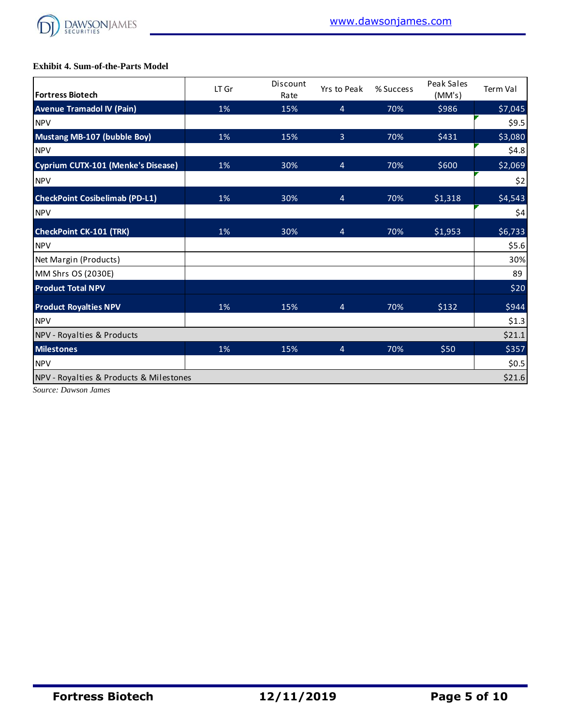

#### **Exhibit 4. Sum-of-the-Parts Model**

| <b>Fortress Biotech</b>                   | LT Gr | Discount<br>Rate | Yrs to Peak    | % Success | Peak Sales<br>(MM's) | <b>Term Val</b> |
|-------------------------------------------|-------|------------------|----------------|-----------|----------------------|-----------------|
| <b>Avenue Tramadol IV (Pain)</b>          | 1%    | 15%              | $\overline{4}$ | 70%       | \$986                | \$7,045         |
| <b>NPV</b>                                |       |                  |                |           |                      | \$9.5           |
| <b>Mustang MB-107 (bubble Boy)</b>        | 1%    | 15%              | $\overline{3}$ | 70%       | \$431                | \$3,080         |
| <b>NPV</b>                                |       |                  |                |           |                      | \$4.8           |
| <b>Cyprium CUTX-101 (Menke's Disease)</b> | 1%    | 30%              | $\overline{4}$ | 70%       | \$600                | \$2,069         |
| <b>NPV</b>                                |       |                  |                |           |                      | \$2             |
| <b>CheckPoint Cosibelimab (PD-L1)</b>     | 1%    | 30%              | $\overline{4}$ | 70%       | \$1,318              | \$4,543         |
| <b>NPV</b>                                |       |                  |                |           |                      | \$4             |
| <b>CheckPoint CK-101 (TRK)</b>            | 1%    | 30%              | 4              | 70%       | \$1,953              | \$6,733         |
| <b>NPV</b>                                |       |                  |                |           |                      | \$5.6           |
| Net Margin (Products)                     |       |                  |                |           |                      | 30%             |
| MM Shrs OS (2030E)                        |       |                  |                |           |                      | 89              |
| <b>Product Total NPV</b>                  |       |                  |                |           |                      | \$20            |
| <b>Product Royalties NPV</b>              | 1%    | 15%              | $\overline{4}$ | 70%       | \$132                | \$944           |
| <b>NPV</b>                                |       |                  |                |           |                      | \$1.3           |
| NPV - Royalties & Products                |       |                  |                |           |                      | \$21.1          |
| <b>Milestones</b>                         | 1%    | 15%              | 4              | 70%       | \$50                 | \$357           |
| <b>NPV</b>                                |       |                  |                |           |                      | \$0.5           |
| NPV - Royalties & Products & Milestones   |       |                  |                |           |                      | \$21.6          |

*Source: Dawson James*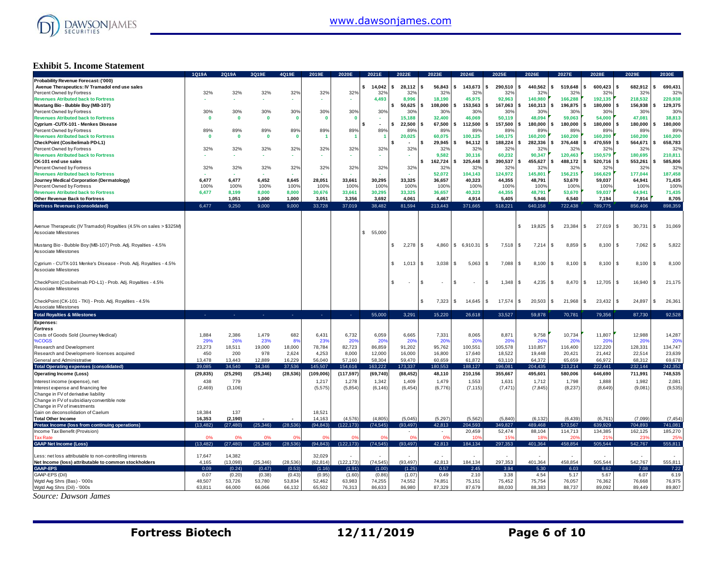

#### **Exhibit 5. Income Statement**

|                                                                     | 1Q19A        | 2Q19A        | 3Q19E        | 4Q19E        | 2019E      | 2020E        | 2021E     | 2022E                  | 2023E                                | 2024E         | 2025E           | 2026E           | 2027E          | 2028E         | 2029E                  | 2030E          |
|---------------------------------------------------------------------|--------------|--------------|--------------|--------------|------------|--------------|-----------|------------------------|--------------------------------------|---------------|-----------------|-----------------|----------------|---------------|------------------------|----------------|
| Probability Revenue Forecast: ('000)                                |              |              |              |              |            |              |           |                        |                                      |               |                 |                 |                |               |                        |                |
| Avenue Therapeutics: IV Tramadol end use sales                      |              |              |              |              |            |              | \$14,042  | 28.112<br>$\mathbf{s}$ | 56,843<br>-S                         | \$<br>143,673 | s<br>290,510    | s.<br>440,562   | \$<br>519,648  | 600,423       | 682,912<br>\$          | 690,431        |
| Percent Owned by Fortress                                           | 32%          | 32%          | 32%          | 32%          | 32%        | 32%          | 32%       | 32%                    | 32%                                  | 32%           | 32%             | 32%             | 32%            | 32%           | 32%                    | 32%            |
| <b>Revenues Atributed back to Fortress</b>                          |              |              |              |              |            |              | 4,493     | 8,996                  | 18,190                               | 45,975        | 92,963          | 140,980         | 166,288        | 192,135       | 218,532                | 220,938        |
|                                                                     |              |              |              |              |            |              |           |                        |                                      |               |                 |                 |                |               |                        |                |
| Mustang Bio - Bubble Boy (MB-107)                                   |              |              |              |              |            |              |           | 50,625<br>\$           | 108.000<br>$\mathbf{s}$              | 153,563       | 167.063<br>s.   | 160,313<br>s.   | 196,875<br>\$  | 180.000       | 156,938<br>\$          | 129,375        |
| Percent Owned by Fortress                                           | 30%          | 30%          | 30%          | 30%          | 30%        | 30%          | 30%       | 30%                    | 30%                                  | 30%           | 30 <sup>o</sup> | 30%             | 30%            | 30%           | 30%                    | 30%            |
| <b>Revenues Atributed back to Fortress</b>                          | $\mathbf{0}$ | $\mathbf{0}$ | $\bf{0}$     | $\mathbf{0}$ | - 0        | $\mathbf{0}$ |           | 15,188                 | 32,400                               | 46,069        | 50,119          | 48,094          | 59,063         | 54,000        | 47,081                 | 38,813         |
| Cyprium - CUTX-101 - Menkes Disease                                 |              |              |              |              |            |              | $\sim$    | 22.500                 | 67.500<br>-S                         | 112.500       | s.<br>157.500   | s.<br>180.000   | \$<br>180.000  | 180.000       | 180.000<br>\$          | 180,000        |
| Percent Owned by Fortress                                           | 89%          | 89%          | 89%          | 89%          | 89%        | 89%          | 89%       | 89%                    | 89%                                  | 89%           | 89%             | 89%             | 89%            | 89%           | 89%                    | 89%            |
| <b>Revenues Atributed back to Fortress</b>                          | $\mathbf{0}$ | $\mathbf{0}$ | $\mathbf{0}$ | $\mathbf{0}$ |            |              |           | 20,025                 | 60.075                               | 100,125       | 140.175         | 160.200         | 160,200        | 160.200       | 160,200                |                |
|                                                                     |              |              |              |              |            |              |           |                        |                                      |               |                 |                 |                |               |                        | 160,200        |
| CheckPoint (Cosibelimab PD-L1)                                      |              |              |              |              |            |              |           | $\sim$                 | 29,945<br>-S                         | 94,112        | 188,224<br>\$   | 282,336<br>s.   | 376,448<br>\$  | 470,559       | 564,671<br>\$          | 658,783        |
| Percent Owned by Fortress                                           | 32%          | 32%          | 32%          | 32%          | 32%        | 32%          | 32%       | 32%                    | 32%                                  | 32%           | 32%             | 32%             | 32%            | 32%           | 329                    | 32%            |
| <b>Revenues Atributed back to Fortress</b>                          |              |              | ٠            | ж.           |            | $\sim$       | ۰.        | ٠                      | 9.582                                | 30.116        | 60,232          | 90.347          | 120.463        | 150.579       | 180.695                | 210,811        |
| CK-101 end use sales                                                |              |              |              |              |            |              |           |                        | 162,724<br>s                         | 325,448       | 390,537<br>¢    | 455,627<br>\$   | 488,172<br>\$. | 520,716       | 553,261<br>\$          | 585,806        |
| Percent Owned by Fortress                                           | 32%          | 32%          | 32%          | 32%          | 32%        | 32%          | 32%       | 32%                    | 32%                                  | 32%           | 32%             | 32%             | 32%            | 32%           | 32%                    | 32%            |
| <b>Revenues Atributed back to Fortress</b>                          |              |              |              |              |            |              |           |                        | 52.072                               | 104.143       | 124.972         | 145,801         | 156,215        | 166.629       | 177.044                | 187,458        |
|                                                                     |              |              |              |              |            |              |           |                        |                                      |               |                 |                 |                |               |                        |                |
| Journey Medical Corporation (Dermatology)                           | 6,477        | 6,477        | 6,452        | 8,645        | 28,051     | 33,661       | 30,295    | 33,325                 | 36,657                               | 40,323        | 44,355          | 48,791          | 53,670         | 59,037        | 64,941                 | 71,435         |
| Percent Owned by Fortress                                           | 100%         | 100%         | 100%         | 100%         | 100%       | 100%         | 100%      | 100%                   | 100%                                 | 100%          | 100%            | 100%            | 100%           | 100%          | 100%                   | 100%           |
| <b>Revenues Atributed back to Fortress</b>                          | 6,477        | 8,199        | 8,000        | 8,000        | 30,676     | 33,661       | 30,295    | 33,325                 | 36,657                               | 40,323        | 44,355          | 48,791          | 53,670         | 59,037        | 64,941                 | 71,435         |
| Other Revenue Back to Fortress                                      |              | 1,051        | 1,000        | 1,000        | 3,051      | 3,356        | 3,692     | 4,061                  | 4,467                                | 4,914         | 5,405           | 5,946           | 6,540          | 7,194         | 7,914                  | 8,705          |
|                                                                     |              |              |              |              |            |              |           |                        |                                      |               |                 |                 |                |               |                        |                |
| <b>Fortress Revenues (consolidated)</b>                             | 6.477        | 9.250        | 9.000        | 9.000        | 33.728     | 37,019       | 38.482    | 81.594                 | 213.443                              | 371.665       | 518.221         | 640,158         | 722,438        | 789,775       | 856,406                | 898.359        |
|                                                                     |              |              |              |              |            |              |           |                        |                                      |               |                 |                 |                |               |                        |                |
|                                                                     |              |              |              |              |            |              |           |                        |                                      |               |                 |                 |                |               |                        |                |
| Avenue Therapeutic (IV Tramadol) Royalties (4.5% on sales > \$325M) |              |              |              |              |            |              |           |                        |                                      |               |                 | S.<br>19,825    | \$<br>23,384   | 27,019<br>£.  | 30,731<br>£.           | 31,069<br>l \$ |
| Associate Milestones                                                |              |              |              |              |            |              | \$55,000  |                        |                                      |               |                 |                 |                |               |                        |                |
|                                                                     |              |              |              |              |            |              |           |                        |                                      |               |                 |                 |                |               |                        |                |
|                                                                     |              |              |              |              |            |              |           |                        |                                      |               |                 |                 |                |               |                        |                |
| Mustang Bio - Bubble Boy (MB-107) Prob. Adj. Royalties - 4.5%       |              |              |              |              |            |              |           | 2,278<br>\$            | 4,860<br>$\mathbf s$                 | \$6,910.31    | 7,518<br>\$     | \$<br>7,214     | 8,859<br>\$    | 8,100         | £.<br>7,062            | 5,822<br>l \$  |
| Associate Milestones                                                |              |              |              |              |            |              |           |                        |                                      |               |                 |                 |                |               |                        |                |
|                                                                     |              |              |              |              |            |              |           |                        |                                      |               |                 |                 |                |               |                        |                |
| Cyprium - CUTX-101 Menke's Disease - Prob. Adj. Royalties - 4.5%    |              |              |              |              |            |              |           | 1,013<br>S.            | $\mathbf{\hat{s}}$<br>3,038          | 5,063<br>S.   | \$<br>7,088     | 8,100<br>s.     | \$<br>8,100    | 8,100         | 8,100<br>£.            | 8,100<br>l SS  |
|                                                                     |              |              |              |              |            |              |           |                        |                                      |               |                 |                 |                |               |                        |                |
| Associate Milestones                                                |              |              |              |              |            |              |           |                        |                                      |               |                 |                 |                |               |                        |                |
|                                                                     |              |              |              |              |            |              |           |                        |                                      |               |                 |                 |                |               |                        |                |
| CheckPoint (Cosibelmab PD-L1) - Prob. Adj. Royalties - 4.5%         |              |              |              |              |            |              |           | S.<br>٠                | <b>S</b><br>$\overline{\phantom{a}}$ | S             | 1,348<br>\$.    | 4,235<br>\$     | 8,470<br>\$    | 12,705<br>-S. | 16,940<br>$\mathbf{s}$ | 21,175<br>l \$ |
| Associate Milestones                                                |              |              |              |              |            |              |           |                        |                                      |               |                 |                 |                |               |                        |                |
|                                                                     |              |              |              |              |            |              |           |                        |                                      |               |                 |                 |                |               |                        |                |
|                                                                     |              |              |              |              |            |              |           |                        | S                                    | S             | \$              |                 | 21,968<br>\$   |               | 24,897<br>£.           | - \$           |
| CheckPoint (CK-101 - TKI) - Prob. Adj. Royalties - 4.5%             |              |              |              |              |            |              |           |                        | 7,323                                | 14,645        | 17,574          | 20,503<br>\$    |                | 23,432        |                        | 26,361         |
| Associate Milestones                                                |              |              |              |              |            |              |           |                        |                                      |               |                 |                 |                |               |                        |                |
| <b>Total Royalties &amp; Milestones</b>                             |              |              | ×.           |              | $\sim$     | 14           | 55.000    | 3,291                  | 15,220                               | 26,618        | 33.527          | 59.878          | 70,781         | 79,356        | 87,730                 | 92.528         |
| <b>Expenses:</b>                                                    |              |              |              |              |            |              |           |                        |                                      |               |                 |                 |                |               |                        |                |
|                                                                     |              |              |              |              |            |              |           |                        |                                      |               |                 |                 |                |               |                        |                |
| <b>Fortress</b>                                                     |              |              |              |              |            |              |           |                        |                                      |               |                 |                 |                |               |                        |                |
| Costs of Goods Sold (Journey Medical)                               | 1,884        | 2,386        | 1,479        | 682          | 6,431      | 6,732        | 6,059     | 6,665                  | 7,331                                | 8,065         | 8,871           | 9,758           | 10,734         | 11,807        | 12,988                 | 14,287         |
| %COGS                                                               | 29%          | 26%          | 23%          | 8%           | 23%        | 20%          | 20%       | 20%                    | 20%                                  | 20%           | 20 <sup>o</sup> | 20 <sup>o</sup> | 20%            | 20%           | 20%                    | 20%            |
| Research and Development                                            | 23,273       | 18,511       | 19,000       | 18,000       | 78,784     | 82,723       | 86,859    | 91,202                 | 95,762                               | 100,551       | 105,578         | 110,857         | 116,400        | 122,220       | 128,331                | 134,747        |
| Research and Development- licenses acquired                         | 450          | 200          | 978          | 2,624        | 4,253      | 8,000        | 12,000    | 16,000                 | 16,800                               | 17,640        | 18,522          | 19,448          | 20,421         | 21,442        | 22,514                 | 23,639         |
| General and Administrative                                          | 13,478       | 13.443       | 12.889       | 16,229       | 56,040     | 57,160       | 58.304    | 59.470                 | 60.659                               | 61,872        | 63.110          | 64.372          | 65.659         | 66.972        | 68.312                 | 69,678         |
|                                                                     |              |              |              |              |            |              |           |                        |                                      |               |                 |                 |                |               |                        |                |
| <b>Total Operating expenses (consolidated)</b>                      | 39.085       | 34.540       | 34,346       | 37,536       | 145,507    | 154,616      | 163,222   | 173,337                | 180.553                              | 188,127       | 196,081         | 204,435         | 213,214        | 222,441       | 232,144                | 242,352        |
| <b>Operating Income (Loss)</b>                                      | (29, 835)    | (25, 290)    | (25, 346)    | (28, 536)    | (109, 006) | (117, 597)   | (69, 740) | (88, 452)              | 48,110                               | 210,156       | 355,667         | 495,601         | 580,006        | 646,690       | 711,991                | 748,535        |
| Interest income (expense), net                                      | 438          | 779          |              |              | 1,217      | 1,278        | 1,342     | 1,409                  | 1,479                                | 1,553         | 1,631           | 1,712           | 1,798          | 1,888         | 1,982                  | 2,081          |
| Interest expense and financing fee                                  | (2, 469)     | (3, 106)     |              |              | (5, 575)   | (5,854)      | (6, 146)  | (6, 454)               | (6.776)                              | (7, 115)      | (7, 471)        | (7, 845)        | (8, 237)       | (8,649)       | (9,081)                | (9,535)        |
|                                                                     |              |              |              |              |            |              |           |                        |                                      |               |                 |                 |                |               |                        |                |
| Change in FV of derivative liability                                |              |              |              |              |            |              |           |                        |                                      |               |                 |                 |                |               |                        |                |
| Change in FV of subsidiary convertible note                         |              |              |              |              |            |              |           |                        |                                      |               |                 |                 |                |               |                        |                |
| Change in FV of investments                                         |              |              |              |              |            |              |           |                        |                                      |               |                 |                 |                |               |                        |                |
| Gain on deconsolidation of Caelum                                   | 18,384       | 137          |              |              | 18,521     |              |           |                        |                                      |               |                 |                 |                |               |                        |                |
| <b>Total Other Income</b>                                           | 16,353       | (2, 190)     |              |              | 14,163     | (4,576)      | (4,805)   | (5,045)                | (5,297)                              | (5, 562)      | (5,840)         | (6, 132)        | (6, 439)       | (6, 761)      | (7,099)                | (7, 454)       |
| Pretax Income (loss from continuing operations)                     | (13.482)     | (27, 480)    | (25, 346)    | (28.536)     | (94, 843)  | (122, 173)   | (74.545)  | (93.497)               | 42.813                               | 204.593       | 349,827         | 489.468         | 573.567        | 639.929       | 704.893                | 741.081        |
|                                                                     |              |              |              |              |            |              |           |                        |                                      | 20,459        | 52,474          | 88,104          | 114,713        | 134,385       | 162,125                | 185,270        |
| Income Tax Benefit (Provision)<br><b>Tax Rate</b>                   |              | 0%           |              |              |            |              |           | 0%                     | 0 <sup>6</sup>                       |               | 15'             |                 |                |               |                        |                |
|                                                                     |              |              |              |              |            |              |           |                        |                                      |               |                 |                 |                |               |                        |                |
| <b>GAAP Net Income (Loss)</b>                                       | (13, 482)    | (27, 480)    | (25, 346)    | (28, 536)    | (94, 843)  | (122, 173)   | (74, 545) | (93, 497)              | 42,813                               | 184,134       | 297,353         | 401,364         | 458,854        | 505,544       | 542,767                | 555,811        |
|                                                                     |              |              |              |              |            |              |           |                        |                                      |               |                 |                 |                |               |                        |                |
| Less: net loss attributable to non-controlling interests            | 17,647       | 14,382       |              |              | 32,029     |              |           |                        |                                      |               |                 |                 |                |               |                        |                |
| Net Income (loss) attributable to common stockholders               | 4,165        | (13,098)     | (25, 346)    | (28, 536)    | (62, 814)  | (122, 173)   | (74.545)  | (93, 497)              | 42.813                               | 184,134       | 297,353         | 401.364         | 458,854        | 505.544       | 542,767                | 555,811        |
| <b>GAAP-EPS</b>                                                     | 0.09         | (0.24)       | (0.47)       | (0.53)       | (1.16)     | (1.91)       | (1.00)    | (1.25)                 | 0.57                                 | 2.45          | 3.94            | 5.30            | 6.03           | 6.62          | 7.08                   | 7.22           |
| GAAP-EPS (Dil)                                                      | 0.07         | (0.20)       | (0.38)       | (0.43)       | (0.95)     | (1.60)       | (0.86)    | (1.07)                 | 0.49                                 | 2.10          | 3.38            | 4.54            | 5.17           | 5.67          | 6.07                   | 6.19           |
|                                                                     |              |              |              |              |            |              |           |                        |                                      |               |                 |                 |                |               |                        |                |
| Wgtd Avg Shrs (Bas) - '000s                                         | 48,507       | 53,726       | 53,780       | 53,834       | 52,462     | 63,983       | 74,255    | 74,552                 | 74,851                               | 75,151        | 75,452          | 75,754          | 76,057         | 76,362        | 76,668                 | 76,975         |
| Watd Ava Shrs (Dil) - '000s                                         | 63.811       | 66,000       | 66.066       | 66.132       | 65.502     | 76,313       | 86.633    | 86.980                 | 87.329                               | 87.679        | 88,030          | 88.383          | 88.737         | 89.092        | 89.449                 | 89.807         |
| Source: Dawson James                                                |              |              |              |              |            |              |           |                        |                                      |               |                 |                 |                |               |                        |                |
|                                                                     |              |              |              |              |            |              |           |                        |                                      |               |                 |                 |                |               |                        |                |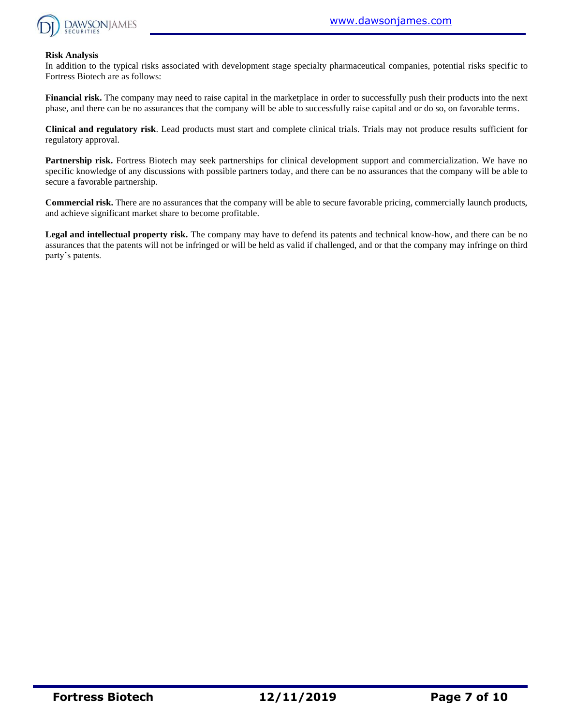

#### **Risk Analysis**

In addition to the typical risks associated with development stage specialty pharmaceutical companies, potential risks specific to Fortress Biotech are as follows:

**Financial risk.** The company may need to raise capital in the marketplace in order to successfully push their products into the next phase, and there can be no assurances that the company will be able to successfully raise capital and or do so, on favorable terms.

**Clinical and regulatory risk**. Lead products must start and complete clinical trials. Trials may not produce results sufficient for regulatory approval.

**Partnership risk.** Fortress Biotech may seek partnerships for clinical development support and commercialization. We have no specific knowledge of any discussions with possible partners today, and there can be no assurances that the company will be able to secure a favorable partnership.

**Commercial risk.** There are no assurances that the company will be able to secure favorable pricing, commercially launch products, and achieve significant market share to become profitable.

**Legal and intellectual property risk.** The company may have to defend its patents and technical know-how, and there can be no assurances that the patents will not be infringed or will be held as valid if challenged, and or that the company may infringe on third party's patents.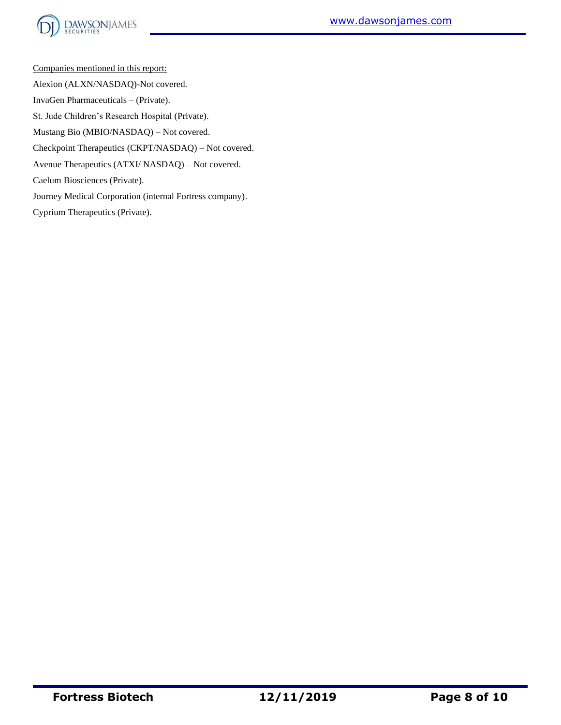

Companies mentioned in this report: Alexion (ALXN/NASDAQ)-Not covered. InvaGen Pharmaceuticals – (Private). St. Jude Children's Research Hospital (Private). Mustang Bio (MBIO/NASDAQ) – Not covered. Checkpoint Therapeutics (CKPT/NASDAQ) – Not covered. Avenue Therapeutics (ATXI/ NASDAQ) – Not covered. Caelum Biosciences (Private). Journey Medical Corporation (internal Fortress company).

Cyprium Therapeutics (Private).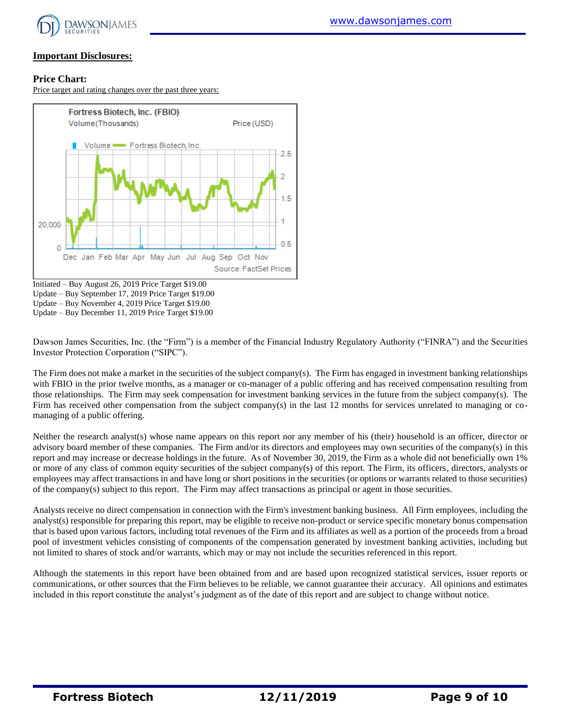

#### **Important Disclosures:**

#### **Price Chart:**

Price target and rating changes over the past three years:



Initiated – Buy August 26, 2019 Price Target \$19.00 Update – Buy September 17, 2019 Price Target \$19.00 Update – Buy November 4, 2019 Price Target \$19.00 Update – Buy December 11, 2019 Price Target \$19.00

Dawson James Securities, Inc. (the "Firm") is a member of the Financial Industry Regulatory Authority ("FINRA") and the Securities Investor Protection Corporation ("SIPC").

The Firm does not make a market in the securities of the subject company(s). The Firm has engaged in investment banking relationships with FBIO in the prior twelve months, as a manager or co-manager of a public offering and has received compensation resulting from those relationships. The Firm may seek compensation for investment banking services in the future from the subject company(s). The Firm has received other compensation from the subject company(s) in the last 12 months for services unrelated to managing or comanaging of a public offering.

Neither the research analyst(s) whose name appears on this report nor any member of his (their) household is an officer, director or advisory board member of these companies. The Firm and/or its directors and employees may own securities of the company(s) in this report and may increase or decrease holdings in the future. As of November 30, 2019, the Firm as a whole did not beneficially own 1% or more of any class of common equity securities of the subject company(s) of this report. The Firm, its officers, directors, analysts or employees may affect transactions in and have long or short positions in the securities (or options or warrants related to those securities) of the company(s) subject to this report. The Firm may affect transactions as principal or agent in those securities.

Analysts receive no direct compensation in connection with the Firm's investment banking business. All Firm employees, including the analyst(s) responsible for preparing this report, may be eligible to receive non-product or service specific monetary bonus compensation that is based upon various factors, including total revenues of the Firm and its affiliates as well as a portion of the proceeds from a broad pool of investment vehicles consisting of components of the compensation generated by investment banking activities, including but not limited to shares of stock and/or warrants, which may or may not include the securities referenced in this report.

Although the statements in this report have been obtained from and are based upon recognized statistical services, issuer reports or communications, or other sources that the Firm believes to be reliable, we cannot guarantee their accuracy. All opinions and estimates included in this report constitute the analyst's judgment as of the date of this report and are subject to change without notice.